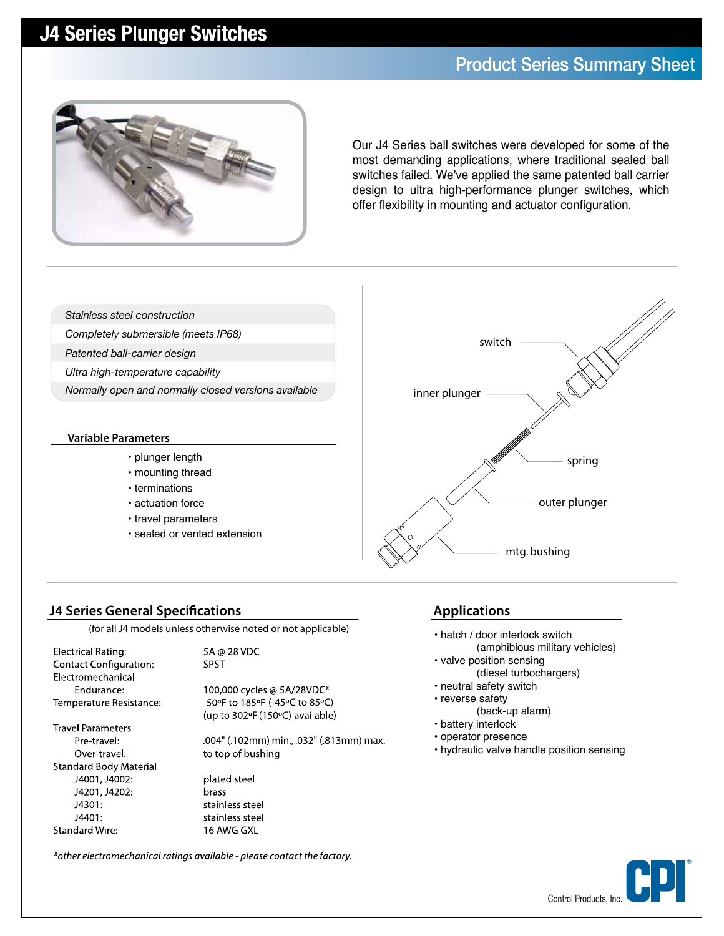## **J4 Series Plunger Switches**

### **Product Series Summary Sheet**



Our J4 Series ball switches were developed for some of the most demanding applications, where traditional sealed ball switches failed. We've applied the same patented ball carrier design to ultra high-performance plunger switches, which offer flexibility in mounting and actuator configuration.

*Stainless steel construction*

- *Completely submersible (meets IP68)*
- *Patented ball-carrier design*
- *Ultra high-temperature capability*
- *Normally open and normally closed versions available*

#### **Variable Parameters**

- plunger length
- mounting thread
- terminations
- actuation force
- travel parameters
- sealed or vented extension



**Applications**

• hatch / door interlock switch

• valve position sensing

• neutral safety switch • reverse safety

• battery interlock • operator presence

(amphibious military vehicles)

(diesel turbochargers)

• hydraulic valve handle position sensing

(back-up alarm)

### **J4 Series General Specifications**

(for all J4 models unless otherwise noted or not applicable)

**Electrical Rating: Contact Configuration:** Electromechanical Endurance: Temperature Resistance: 5A @ 28 VDC **SPST** 

> 100,000 cycles @ 5A/28VDC\* -50°F to 185°F (-45°C to 85°C) (up to 302°F (150°C) available)

**Travel Parameters** Pre-travel: Over travel: **Standard Body Material** J4001, J4002: J4201, J4202: J4301: J4401: **Standard Wire:** 

.004" (.102mm) min., .032" (.813mm) max. to top of bushing plated steel brass stainless steel

stainless steel

16 AWG GXL

\*other electromechanical ratings available - please contact the factory.

Control Products, Inc. **®**